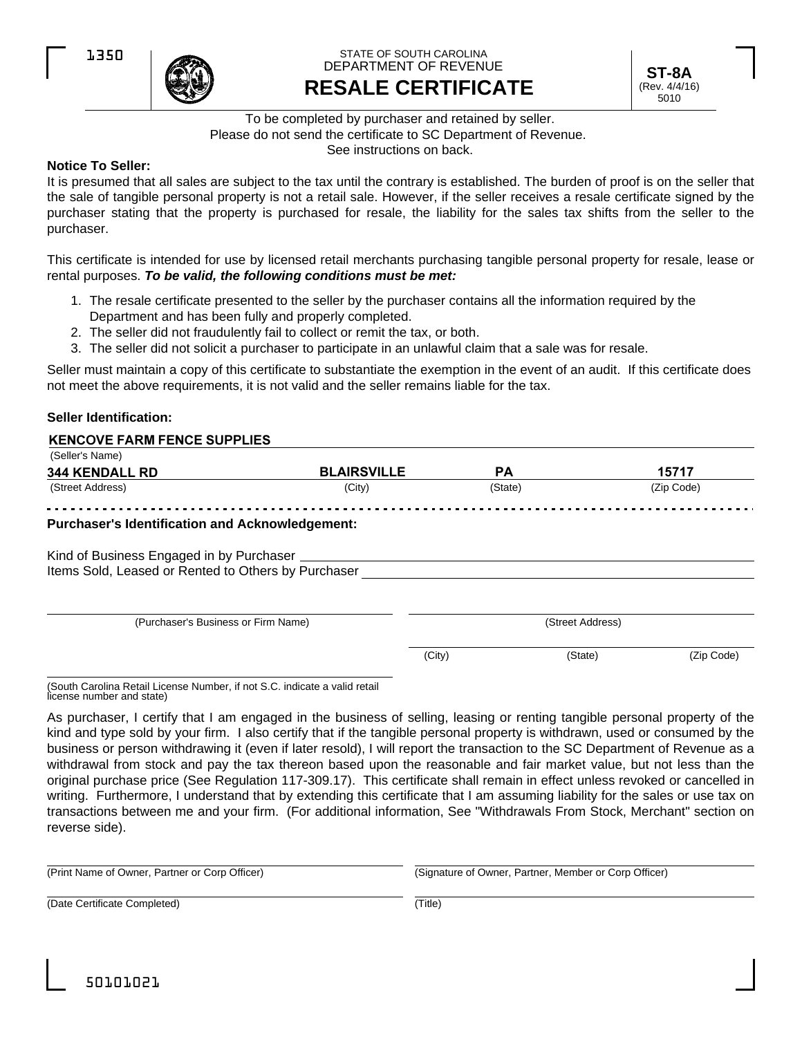

### **RESALE CERTIFICATE** STATE OF SOUTH CAROLINA DEPARTMENT OF REVENUE



# To be completed by purchaser and retained by seller. Please do not send the certificate to SC Department of Revenue.

See instructions on back.

# **Notice To Seller:**

It is presumed that all sales are subject to the tax until the contrary is established. The burden of proof is on the seller that the sale of tangible personal property is not a retail sale. However, if the seller receives a resale certificate signed by the purchaser stating that the property is purchased for resale, the liability for the sales tax shifts from the seller to the purchaser.

This certificate is intended for use by licensed retail merchants purchasing tangible personal property for resale, lease or rental purposes. *To be valid, the following conditions must be met:*

- 1. The resale certificate presented to the seller by the purchaser contains all the information required by the Department and has been fully and properly completed.
- 2. The seller did not fraudulently fail to collect or remit the tax, or both.
- 3. The seller did not solicit a purchaser to participate in an unlawful claim that a sale was for resale.

Seller must maintain a copy of this certificate to substantiate the exemption in the event of an audit. If this certificate does not meet the above requirements, it is not valid and the seller remains liable for the tax.

### **Seller Identification:**

#### **KENCOVE FARM FENCE SUPPLIES**

| (Seller's Name)                                                                                   |                    |           |                  |            |
|---------------------------------------------------------------------------------------------------|--------------------|-----------|------------------|------------|
| <b>344 KENDALL RD</b>                                                                             | <b>BLAIRSVILLE</b> | <b>PA</b> |                  | 15717      |
| (Street Address)                                                                                  | (City)             | (State)   |                  | (Zip Code) |
| <b>Purchaser's Identification and Acknowledgement:</b>                                            |                    |           |                  |            |
| Kind of Business Engaged in by Purchaser _<br>Items Sold, Leased or Rented to Others by Purchaser |                    |           |                  |            |
| (Purchaser's Business or Firm Name)                                                               |                    |           | (Street Address) |            |
|                                                                                                   |                    | (City)    | (State)          | (Zip Code) |
|                                                                                                   |                    |           |                  |            |

(South Carolina Retail License Number, if not S.C. indicate a valid retail license number and state)

As purchaser, I certify that I am engaged in the business of selling, leasing or renting tangible personal property of the kind and type sold by your firm. I also certify that if the tangible personal property is withdrawn, used or consumed by the business or person withdrawing it (even if later resold), I will report the transaction to the SC Department of Revenue as a withdrawal from stock and pay the tax thereon based upon the reasonable and fair market value, but not less than the original purchase price (See Regulation 117-309.17). This certificate shall remain in effect unless revoked or cancelled in writing. Furthermore, I understand that by extending this certificate that I am assuming liability for the sales or use tax on transactions between me and your firm. (For additional information, See "Withdrawals From Stock, Merchant" section on reverse side).

(Print Name of Owner, Partner or Corp Officer) (Signature of Owner, Partner, Member or Corp Officer)

(Date Certificate Completed) (Title)